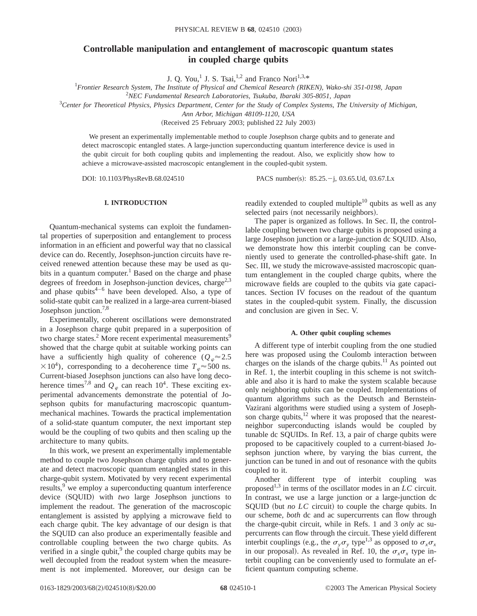# **Controllable manipulation and entanglement of macroscopic quantum states in coupled charge qubits**

J. Q. You,<sup>1</sup> J. S. Tsai,<sup>1,2</sup> and Franco Nori<sup>1,3,\*</sup>

*Frontier Research System, The Institute of Physical and Chemical Research (RIKEN), Wako-shi 351-0198, Japan*

2 *NEC Fundamental Research Laboratories, Tsukuba, Ibaraki 305-8051, Japan*

3 *Center for Theoretical Physics, Physics Department, Center for the Study of Complex Systems, The University of Michigan,*

*Ann Arbor, Michigan 48109-1120, USA*

(Received 25 February 2003; published 22 July 2003)

We present an experimentally implementable method to couple Josephson charge qubits and to generate and detect macroscopic entangled states. A large-junction superconducting quantum interference device is used in the qubit circuit for both coupling qubits and implementing the readout. Also, we explicitly show how to achieve a microwave-assisted macroscopic entanglement in the coupled-qubit system.

DOI: 10.1103/PhysRevB.68.024510 PACS number(s): 85.25.-j, 03.65.Ud, 03.67.Lx

### **I. INTRODUCTION**

Quantum-mechanical systems can exploit the fundamental properties of superposition and entanglement to process information in an efficient and powerful way that no classical device can do. Recently, Josephson-junction circuits have received renewed attention because these may be used as qubits in a quantum computer.<sup>1</sup> Based on the charge and phase degrees of freedom in Josephson-junction devices, charge<sup>2,3</sup> and phase qubits<sup>4–6</sup> have been developed. Also, a type of solid-state qubit can be realized in a large-area current-biased Josephson junction.<sup>7,8</sup>

Experimentally, coherent oscillations were demonstrated in a Josephson charge qubit prepared in a superposition of two charge states.<sup>2</sup> More recent experimental measurements<sup>9</sup> showed that the charge qubit at suitable working points can have a sufficiently high quality of coherence ( $Q_{\varphi} \approx 2.5$ )  $\times 10^4$ ), corresponding to a decoherence time  $T_{\phi} \approx 500$  ns. Current-biased Josephson junctions can also have long decoherence times<sup>7,8</sup> and  $Q_{\varphi}$  can reach 10<sup>4</sup>. These exciting experimental advancements demonstrate the potential of Josephson qubits for manufacturing macroscopic quantummechanical machines. Towards the practical implementation of a solid-state quantum computer, the next important step would be the coupling of two qubits and then scaling up the architecture to many qubits.

In this work, we present an experimentally implementable method to couple two Josephson charge qubits and to generate and detect macroscopic quantum entangled states in this charge-qubit system. Motivated by very recent experimental results,<sup>9</sup> we employ a superconducting quantum interference device (SQUID) with *two* large Josephson junctions to implement the readout. The generation of the macroscopic entanglement is assisted by applying a microwave field to each charge qubit. The key advantage of our design is that the SQUID can also produce an experimentally feasible and controllable coupling between the two charge qubits. As verified in a single qubit, $9$  the coupled charge qubits may be well decoupled from the readout system when the measurement is not implemented. Moreover, our design can be readily extended to coupled multiple<sup>10</sup> qubits as well as any selected pairs (not necessarily neighbors).

The paper is organized as follows. In Sec. II, the controllable coupling between two charge qubits is proposed using a large Josephson junction or a large-junction dc SQUID. Also, we demonstrate how this interbit coupling can be conveniently used to generate the controlled-phase-shift gate. In Sec. III, we study the microwave-assisted macroscopic quantum entanglement in the coupled charge qubits, where the microwave fields are coupled to the qubits via gate capacitances. Section IV focuses on the readout of the quantum states in the coupled-qubit system. Finally, the discussion and conclusion are given in Sec. V.

### **A. Other qubit coupling schemes**

A different type of interbit coupling from the one studied here was proposed using the Coulomb interaction between charges on the islands of the charge qubits.<sup>11</sup> As pointed out in Ref. 1, the interbit coupling in this scheme is not switchable and also it is hard to make the system scalable because only neighboring qubits can be coupled. Implementations of quantum algorithms such as the Deutsch and Bernstein-Vazirani algorithms were studied using a system of Josephson charge qubits, $^{12}$  where it was proposed that the nearestneighbor superconducting islands would be coupled by tunable dc SQUIDs. In Ref. 13, a pair of charge qubits were proposed to be capacitively coupled to a current-biased Josephson junction where, by varying the bias current, the junction can be tuned in and out of resonance with the qubits coupled to it.

Another different type of interbit coupling was proposed<sup>1,3</sup> in terms of the oscillator modes in an  $LC$  circuit. In contrast, we use a large junction or a large-junction dc SQUID (but *no LC* circuit) to couple the charge qubits. In our scheme, *both* dc and ac supercurrents can flow through the charge-qubit circuit, while in Refs. 1 and 3 *only* ac supercurrents can flow through the circuit. These yield different interbit couplings (e.g., the  $\sigma_y \sigma_y$  type<sup>1,3</sup> as opposed to  $\sigma_x \sigma_x$ in our proposal). As revealed in Ref. 10, the  $\sigma_{r}\sigma_{r}$  type interbit coupling can be conveniently used to formulate an efficient quantum computing scheme.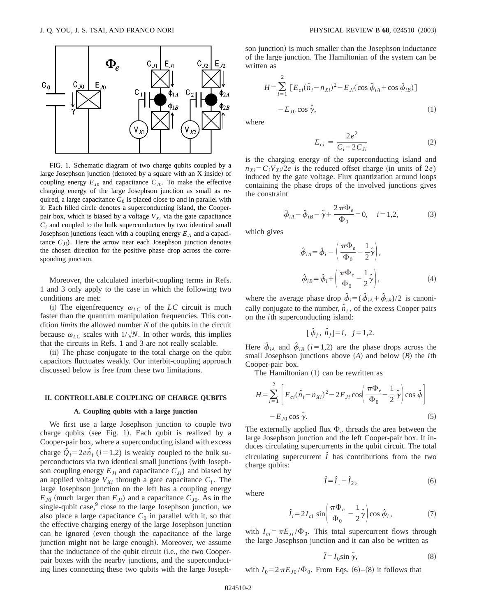

FIG. 1. Schematic diagram of two charge qubits coupled by a large Josephson junction (denoted by a square with an  $X$  inside) of coupling energy  $E_{J0}$  and capacitance  $C_{J0}$ . To make the effective charging energy of the large Josephson junction as small as required, a large capacitance  $C_0$  is placed close to and in parallel with it. Each filled circle denotes a superconducting island, the Cooperpair box, which is biased by a voltage  $V_{Xi}$  via the gate capacitance  $C_i$  and coupled to the bulk superconductors by two identical small Josephson junctions (each with a coupling energy  $E_{Ji}$  and a capacitance  $C_{Ii}$ ). Here the arrow near each Josephson junction denotes the chosen direction for the positive phase drop across the corresponding junction.

Moreover, the calculated interbit-coupling terms in Refs. 1 and 3 only apply to the case in which the following two conditions are met:

(i) The eigenfrequency  $\omega_{LC}$  of the *LC* circuit is much faster than the quantum manipulation frequencies. This condition *limits* the allowed number *N* of the qubits in the circuit because  $\omega_{LC}$  scales with  $1/\sqrt{N}$ . In other words, this implies that the circuits in Refs. 1 and 3 are not really scalable.

(ii) The phase conjugate to the total charge on the qubit capacitors fluctuates weakly. Our interbit-coupling approach discussed below is free from these two limitations.

#### **II. CONTROLLABLE COUPLING OF CHARGE QUBITS**

#### **A. Coupling qubits with a large junction**

We first use a large Josephson junction to couple two charge qubits (see Fig. 1). Each qubit is realized by a Cooper-pair box, where a superconducting island with excess charge  $\hat{Q}_i = 2e\hat{n}_i$  (*i* = 1,2) is weakly coupled to the bulk superconductors via two identical small junctions (with Josephson coupling energy  $E_{Ji}$  and capacitance  $C_{Ji}$ ) and biased by an applied voltage  $V_{Xi}$  through a gate capacitance  $C_i$ . The large Josephson junction on the left has a coupling energy  $E_{J0}$  (much larger than  $E_{Ji}$ ) and a capacitance  $C_{J0}$ . As in the single-qubit case, $9$  close to the large Josephson junction, we also place a large capacitance  $C_0$  in parallel with it, so that the effective charging energy of the large Josephson junction can be ignored (even though the capacitance of the large junction might not be large enough). Moreover, we assume that the inductance of the qubit circuit  $(i.e.,$  the two Cooperpair boxes with the nearby junctions, and the superconducting lines connecting these two qubits with the large Josephson junction) is much smaller than the Josephson inductance of the large junction. The Hamiltonian of the system can be written as

$$
H = \sum_{i=1}^{2} \left[ E_{ci} (\hat{n}_i - n_{Xi})^2 - E_{Ji} (\cos \hat{\phi}_{iA} + \cos \hat{\phi}_{iB}) \right]
$$
  
-  $E_{J0} \cos \hat{\gamma}$ , (1)

where

$$
E_{ci} = \frac{2e^2}{C_i + 2C_{Ji}}\tag{2}
$$

is the charging energy of the superconducting island and  $n_{Xi} = C_i V_{Xi}/2e$  is the reduced offset charge (in units of 2*e*) induced by the gate voltage. Flux quantization around loops containing the phase drops of the involved junctions gives the constraint

$$
\hat{\phi}_{iA} - \hat{\phi}_{iB} - \hat{\gamma} + \frac{2\pi\Phi_e}{\Phi_0} = 0, \quad i = 1, 2,
$$
 (3)

which gives

$$
\hat{\phi}_{iA} = \hat{\phi}_i - \left(\frac{\pi \Phi_e}{\Phi_0} - \frac{1}{2}\hat{\gamma}\right),
$$
  

$$
\hat{\phi}_{iB} = \hat{\phi}_i + \left(\frac{\pi \Phi_e}{\Phi_0} - \frac{1}{2}\hat{\gamma}\right),
$$
 (4)

where the average phase drop  $\phi_i = (\phi_{iA} + \phi_{iB})/2$  is canonically conjugate to the number,  $\hat{n}_i$ , of the excess Cooper pairs on the *i*th superconducting island:

$$
[\hat{\phi}_j, \hat{n}_j] = i, \quad j = 1, 2.
$$

Here  $\hat{\phi}_{iA}$  and  $\hat{\phi}_{iB}$  (*i*=1,2) are the phase drops across the small Josephson junctions above  $(A)$  and below  $(B)$  the *i*th Cooper-pair box.

The Hamiltonian  $(1)$  can be rewritten as

$$
H = \sum_{i=1}^{2} \left[ E_{ci} (\hat{n}_i - n_{Xi})^2 - 2E_{Ji} \cos \left( \frac{\pi \Phi_e}{\Phi_0} - \frac{1}{2} \hat{\gamma} \right) \cos \hat{\phi} \right]
$$
  
-  $E_{J0} \cos \hat{\gamma}$ . (5)

The externally applied flux  $\Phi$ <sub>e</sub> threads the area between the large Josephson junction and the left Cooper-pair box. It induces circulating supercurrents in the qubit circuit. The total circulating supercurrent  $\hat{I}$  has contributions from the two charge qubits:

 $\hat{I} = \hat{I}_1 + \hat{I}$ 

where

$$
\hat{I}_i = 2I_{ci} \sin\left(\frac{\pi\Phi_e}{\Phi_0} - \frac{1}{2}\hat{\gamma}\right)\cos\hat{\phi}_i, \tag{7}
$$

with  $I_{ci} = \pi E_{Ji} / \Phi_0$ . This total supercurrent flows through the large Josephson junction and it can also be written as

$$
\hat{I} = I_0 \sin \hat{\gamma},\tag{8}
$$

 $2, \t\t(6)$ 

with  $I_0 = 2 \pi E_{J0} / \Phi_0$ . From Eqs. (6)–(8) it follows that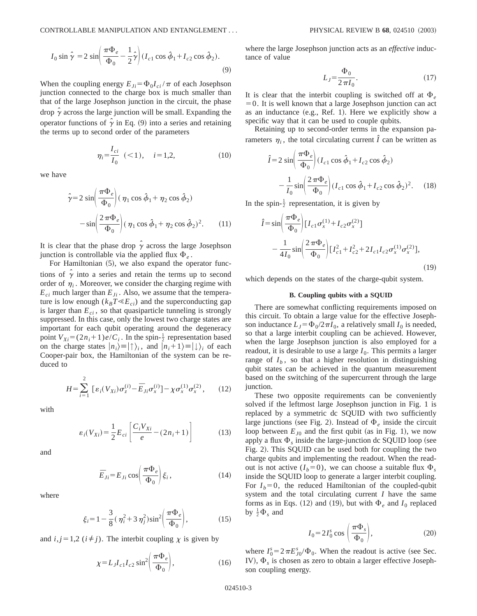$$
I_0 \sin \hat{\gamma} = 2 \sin \left( \frac{\pi \Phi_e}{\Phi_0} - \frac{1}{2} \hat{\gamma} \right) (I_{c1} \cos \hat{\phi}_1 + I_{c2} \cos \hat{\phi}_2).
$$
\n(9)

When the coupling energy  $E_{Ji} = \Phi_0 I_{ci} / \pi$  of each Josephson junction connected to the charge box is much smaller than that of the large Josephson junction in the circuit, the phase  $\alpha$ <sup>*γ*</sup> across the large junction will be small. Expanding the operator functions of  $\hat{\gamma}$  in Eq. (9) into a series and retaining the terms up to second order of the parameters

$$
\eta_i = \frac{I_{ci}}{I_0} \quad (-1), \quad i = 1, 2,\tag{10}
$$

we have

$$
\hat{\gamma} = 2 \sin \left( \frac{\pi \Phi_e}{\Phi_0} \right) (\eta_1 \cos \hat{\phi}_1 + \eta_2 \cos \hat{\phi}_2)
$$

$$
- \sin \left( \frac{2 \pi \Phi_e}{\Phi_0} \right) (\eta_1 \cos \hat{\phi}_1 + \eta_2 \cos \hat{\phi}_2)^2. \tag{11}
$$

It is clear that the phase drop  $\hat{\gamma}$  across the large Josephson junction is controllable via the applied flux  $\Phi_e$ .

For Hamiltonian  $(5)$ , we also expand the operator functions of  $\hat{\gamma}$  into a series and retain the terms up to second order of  $\eta_i$ . Moreover, we consider the charging regime with  $E_{ci}$  much larger than  $E_{Ji}$ . Also, we assume that the temperature is low enough  $(k_B T \ll E_{ci})$  and the superconducting gap is larger than  $E_{ci}$ , so that quasiparticle tunneling is strongly suppressed. In this case, only the lowest two charge states are important for each qubit operating around the degeneracy point  $V_{Xi} = (2n_i + 1)e/C_i$ . In the spin- $\frac{1}{2}$  representation based on the charge states  $|n_i\rangle \equiv |\uparrow\rangle_i$ , and  $|n_i+1\rangle \equiv |\downarrow\rangle_i$  of each Cooper-pair box, the Hamiltonian of the system can be reduced to

$$
H = \sum_{i=1}^{2} \left[ \varepsilon_i (V_{Xi}) \sigma_z^{(i)} - \bar{E}_{Ji} \sigma_x^{(i)} \right] - \chi \sigma_x^{(1)} \sigma_x^{(2)}, \qquad (12)
$$

with

$$
\varepsilon_i(V_{Xi}) = \frac{1}{2} E_{ci} \left[ \frac{C_i V_{Xi}}{e} - (2n_i + 1) \right]
$$
 (13)

and

$$
\overline{E}_{Ji} = E_{Ji} \cos\left(\frac{\pi \Phi_e}{\Phi_0}\right) \xi_i, \qquad (14)
$$

where

$$
\xi_i = 1 - \frac{3}{8} (\eta_i^2 + 3 \eta_j^2) \sin^2 \left( \frac{\pi \Phi_e}{\Phi_0} \right),
$$
 (15)

and  $i, j = 1,2$  ( $i \neq j$ ). The interbit coupling  $\chi$  is given by

$$
\chi = L_J I_{c1} I_{c2} \sin^2 \left( \frac{\pi \Phi_e}{\Phi_0} \right),\tag{16}
$$

where the large Josephson junction acts as an *effective* inductance of value

$$
L_J = \frac{\Phi_0}{2\pi I_0}.\tag{17}
$$

It is clear that the interbit coupling is switched off at  $\Phi$ <sub>e</sub>  $=0$ . It is well known that a large Josephson junction can act as an inductance  $(e.g., Ref. 1)$ . Here we explicitly show a specific way that it can be used to couple qubits.

Retaining up to second-order terms in the expansion parameters  $\eta_i$ , the total circulating current  $\hat{I}$  can be written as

$$
\hat{I} = 2 \sin\left(\frac{\pi \Phi_e}{\Phi_0}\right) (I_{c1} \cos \hat{\phi}_1 + I_{c2} \cos \hat{\phi}_2)
$$

$$
- \frac{1}{I_0} \sin\left(\frac{2 \pi \Phi_e}{\Phi_0}\right) (I_{c1} \cos \hat{\phi}_1 + I_{c2} \cos \hat{\phi}_2)^2. \quad (18)
$$

In the spin- $\frac{1}{2}$  representation, it is given by

$$
\hat{I} = \sin\left(\frac{\pi \Phi_e}{\Phi_0}\right) [I_{c1} \sigma_x^{(1)} + I_{c2} \sigma_x^{(2)}]
$$

$$
- \frac{1}{4I_0} \sin\left(\frac{2\pi \Phi_e}{\Phi_0}\right) [I_{c1}^2 + I_{c2}^2 + 2I_{c1}I_{c2} \sigma_x^{(1)} \sigma_x^{(2)}],
$$
(19)

which depends on the states of the charge-qubit system.

#### **B. Coupling qubits with a SQUID**

There are somewhat conflicting requirements imposed on this circuit. To obtain a large value for the effective Josephson inductance  $L_J = \Phi_0/2\pi I_0$ , a relatively small  $I_0$  is needed, so that a large interbit coupling can be achieved. However, when the large Josephson junction is also employed for a readout, it is desirable to use a large  $I_0$ . This permits a larger range of  $I<sub>b</sub>$ , so that a higher resolution in distinguishing qubit states can be achieved in the quantum measurement based on the switching of the supercurrent through the large junction.

These two opposite requirements can be conveniently solved if the leftmost large Josephson junction in Fig. 1 is replaced by a symmetric dc SQUID with two sufficiently large junctions (see Fig. 2). Instead of  $\Phi_e$  inside the circuit loop between  $E_{J0}$  and the first qubit (as in Fig. 1), we now apply a flux  $\Phi_s$  inside the large-junction dc SQUID loop (see Fig. 2). This SQUID can be used both for coupling the two charge qubits and implementing the readout. When the readout is not active  $(I_b=0)$ , we can choose a suitable flux  $\Phi_s$ inside the SQUID loop to generate a larger interbit coupling. For  $I_b=0$ , the reduced Hamiltonian of the coupled-qubit system and the total circulating current *I* have the same forms as in Eqs. (12) and (19), but with  $\Phi_e$  and  $I_0$  replaced by  $\frac{1}{2}\Phi_s$  and

$$
I_0 = 2I_0^s \cos\left(\frac{\pi \Phi_s}{\Phi_0}\right),\tag{20}
$$

where  $I_0^s = 2\pi E_{J0}^s / \Phi_0$ . When the readout is active (see Sec. IV),  $\Phi_s$  is chosen as zero to obtain a larger effective Josephson coupling energy.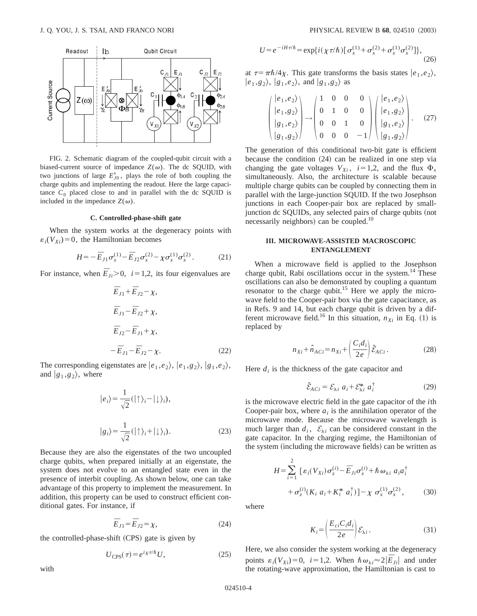

FIG. 2. Schematic diagram of the coupled-qubit circuit with a biased-current source of impedance  $Z(\omega)$ . The dc SQUID, with two junctions of large  $E_{J0}^s$ , plays the role of both coupling the charge qubits and implementing the readout. Here the large capacitance  $C_0$  placed close to and in parallel with the dc SQUID is included in the impedance  $Z(\omega)$ .

## **C. Controlled-phase-shift gate**

When the system works at the degeneracy points with  $\varepsilon_i(V_{Xi})=0$ , the Hamiltonian becomes

$$
H = -\bar{E}_{J1}\sigma_x^{(1)} - \bar{E}_{J2}\sigma_x^{(2)} - \chi \sigma_x^{(1)} \sigma_x^{(2)}.
$$
 (21)

For instance, when  $\overline{E}_{ji} > 0$ ,  $i = 1,2$ , its four eigenvalues are

$$
\begin{aligned}\n\overline{E}_{J1} + \overline{E}_{J2} - \chi, \\
\overline{E}_{J1} - \overline{E}_{J2} + \chi, \\
\overline{E}_{J2} - \overline{E}_{J1} + \chi, \\
-\overline{E}_{J1} - \overline{E}_{J2} - \chi.\n\end{aligned} \tag{22}
$$

The corresponding eigenstates are  $|e_1, e_2\rangle$ ,  $|e_1, g_2\rangle$ ,  $|g_1, e_2\rangle$ , and  $|g_1, g_2\rangle$ , where

$$
|e_i\rangle = \frac{1}{\sqrt{2}} (|\uparrow\rangle_i - |\downarrow\rangle_i),
$$
  

$$
|g_i\rangle = \frac{1}{\sqrt{2}} (|\uparrow\rangle_i + |\downarrow\rangle_i).
$$
 (23)

Because they are also the eigenstates of the two uncoupled charge qubits, when prepared initially at an eigenstate, the system does not evolve to an entangled state even in the presence of interbit coupling. As shown below, one can take advantage of this property to implement the measurement. In addition, this property can be used to construct efficient conditional gates. For instance, if

$$
\overline{E}_{J1} = \overline{E}_{J2} = \chi, \tag{24}
$$

the controlled-phase-shift (CPS) gate is given by

$$
U_{\rm{CPS}}(\tau) = e^{i\chi\tau/\hbar} U,\tag{25}
$$

$$
U = e^{-iH\tau/\hbar} = \exp\{i(\chi\tau/\hbar) [\sigma_x^{(1)} + \sigma_x^{(2)} + \sigma_x^{(1)}\sigma_x^{(2)}]\},\tag{26}
$$

at  $\tau = \pi \hbar/4\chi$ . This gate transforms the basis states  $|e_1, e_2\rangle$ ,  $|e_1, g_2\rangle, |g_1, e_2\rangle, \text{ and } |g_1, g_2\rangle \text{ as }$ 

$$
\begin{pmatrix} |e_1, e_2\rangle \\ |e_1, g_2\rangle \\ |g_1, e_2\rangle \\ |g_1, g_2\rangle \end{pmatrix} \rightarrow \begin{pmatrix} 1 & 0 & 0 & 0 \\ 0 & 1 & 0 & 0 \\ 0 & 0 & 1 & 0 \\ 0 & 0 & 0 & -1 \end{pmatrix} \begin{pmatrix} |e_1, e_2\rangle \\ |e_1, g_2\rangle \\ |g_1, e_2\rangle \\ |g_1, g_2\rangle \end{pmatrix} . \quad (27)
$$

The generation of this conditional two-bit gate is efficient because the condition  $(24)$  can be realized in one step via changing the gate voltages  $V_{Xi}$ ,  $i=1,2$ , and the flux  $\Phi_s$ simultaneously. Also, the architecture is scalable because multiple charge qubits can be coupled by connecting them in parallel with the large-junction SQUID. If the two Josephson junctions in each Cooper-pair box are replaced by smalljunction dc SQUIDs, any selected pairs of charge qubits (not necessarily neighbors) can be coupled. $10$ 

# **III. MICROWAVE-ASSISTED MACROSCOPIC ENTANGLEMENT**

When a microwave field is applied to the Josephson charge qubit, Rabi oscillations occur in the system.<sup>14</sup> These oscillations can also be demonstrated by coupling a quantum resonator to the charge qubit.<sup>15</sup> Here we apply the microwave field to the Cooper-pair box via the gate capacitance, as in Refs. 9 and 14, but each charge qubit is driven by a different microwave field.<sup>16</sup> In this situation,  $n_{Xi}$  in Eq. (1) is replaced by

$$
n_{Xi} + \hat{n}_{ACi} = n_{Xi} + \left(\frac{C_i d_i}{2e}\right) \hat{\mathcal{E}}_{ACi}.
$$
 (28)

Here  $d_i$  is the thickness of the gate capacitor and

$$
\hat{\mathcal{E}}_{ACi} = \mathcal{E}_{\lambda i} \ a_i + \mathcal{E}_{\lambda i}^* \ a_i^\dagger \tag{29}
$$

is the microwave electric field in the gate capacitor of the *i*th Cooper-pair box, where  $a_i$  is the annihilation operator of the microwave mode. Because the microwave wavelength is much larger than  $d_i$ ,  $\mathcal{E}_{\lambda i}$  can be considered constant in the gate capacitor. In the charging regime, the Hamiltonian of the system (including the microwave fields) can be written as

$$
H = \sum_{i=1}^{2} \left[ \varepsilon_i (V_{Xi}) \sigma_z^{(i)} - \overline{E}_{Ji} \sigma_x^{(i)} + \hbar \omega_{\lambda i} a_i a_i^{\dagger} + \sigma_z^{(i)} (K_i a_i + K_i^* a_i^{\dagger}) \right] - \chi \sigma_x^{(1)} \sigma_x^{(2)}, \qquad (30)
$$

where

$$
K_i = \left(\frac{E_{ci}C_i d_i}{2e}\right) \mathcal{E}_{\lambda i} \,. \tag{31}
$$

Here, we also consider the system working at the degeneracy points  $\varepsilon_i(V_{Xi})=0$ ,  $i=1,2$ . When  $\hbar \omega_{\lambda i} \approx 2|\bar{E}_{Ji}|$  and under the rotating-wave approximation, the Hamiltonian is cast to

with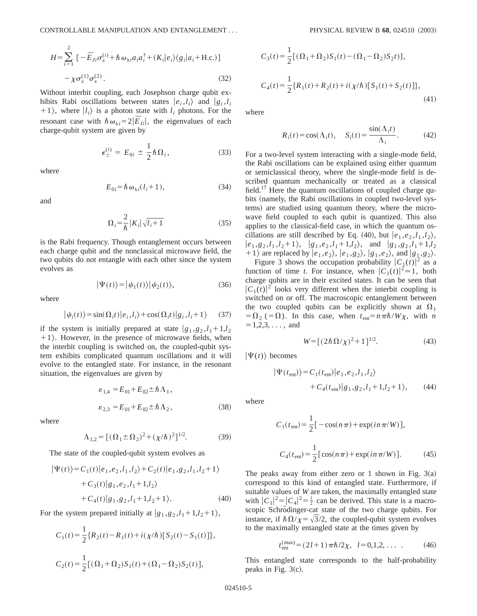$$
H = \sum_{i=1}^{2} \left[ -\overline{E}_{Ji} \sigma_{x}^{(i)} + \hbar \omega_{\lambda i} a_{i} a_{i}^{\dagger} + (K_{i} |e_{i} \rangle \langle g_{i} | a_{i} + \text{H.c.}) \right] - \chi \sigma_{x}^{(1)} \sigma_{x}^{(2)}.
$$
 (32)

Without interbit coupling, each Josephson charge qubit exhibits Rabi oscillations between states  $|e_i, l_i\rangle$  and  $|g_i, l_i\rangle$  $|1\rangle$ , where  $|1\rangle$  is a photon state with  $l_i$  photons. For the resonant case with  $\hbar \omega_{\lambda i} = 2|\bar{E}_{Ji}|$ , the eigenvalues of each charge-qubit system are given by

$$
\epsilon_{\pm}^{(i)} = E_{0i} \pm \frac{1}{2} \hbar \Omega_i, \qquad (33)
$$

where

$$
E_{0i} = \hbar \,\omega_{\lambda i} (l_i + 1),\tag{34}
$$

and

$$
\Omega_i = \frac{2}{\hbar} |K_i| \sqrt{l_i + 1} \tag{35}
$$

is the Rabi frequency. Though entanglement occurs between each charge qubit and the nonclassical microwave field, the two qubits do not entangle with each other since the system evolves as

$$
|\Psi(t)\rangle = |\psi_1(t)\rangle |\psi_2(t)\rangle, \tag{36}
$$

where

$$
|\psi_i(t)\rangle = \sin(\Omega_i t) |e_i, l_i\rangle + \cos(\Omega_i t) |g_i, l_i + 1\rangle \qquad (37)
$$

if the system is initially prepared at state  $|g_1, g_2, l_1+1, l_2|$  $+1$ ). However, in the presence of microwave fields, when the interbit coupling is switched on, the coupled-qubit system exhibits complicated quantum oscillations and it will evolve to the entangled state. For instance, in the resonant situation, the eigenvalues are given by

$$
\varepsilon_{1,4} = E_{01} + E_{02} \pm \hbar \Lambda_1,
$$
  

$$
\varepsilon_{2,3} = E_{01} + E_{02} \pm \hbar \Lambda_2,
$$
 (38)

where

$$
\Lambda_{1,2} = [(\Omega_1 \pm \Omega_2)^2 + (\chi/\hbar)^2]^{1/2}.
$$
 (39)

The state of the coupled-qubit system evolves as

$$
|\Psi(t)\rangle = C_1(t)|e_1, e_2, l_1, l_2\rangle + C_2(t)|e_1, g_2, l_1, l_2 + 1\rangle
$$
  
+ C\_3(t)|g\_1, e\_2, l\_1 + 1, l\_2\rangle  
+ C\_4(t)|g\_1, g\_2, l\_1 + 1, l\_2 + 1\rangle. (40)

For the system prepared initially at  $|g_1, g_2, l_1+1, l_2+1\rangle$ ,

$$
C_1(t) = \frac{1}{2} \{ R_2(t) - R_1(t) + i(\chi/\hbar) [S_2(t) - S_1(t)] \},
$$
  

$$
C_2(t) = \frac{1}{2} [ (\Omega_1 + \Omega_2) S_1(t) + (\Omega_1 - \Omega_2) S_2(t) ],
$$

$$
C_3(t) = \frac{1}{2} [(\Omega_1 + \Omega_2) S_1(t) - (\Omega_1 - \Omega_2) S_2 t)],
$$
  
\n
$$
C_4(t) = \frac{1}{2} \{R_1(t) + R_2(t) + i(\chi/\hbar) [S_1(t) + S_2(t)]\},
$$
\n(41)

where

$$
R_i(t) = \cos(\Lambda_i t), \quad S_i(t) = \frac{\sin(\Lambda_i t)}{\Lambda_i}.
$$
 (42)

For a two-level system interacting with a single-mode field, the Rabi oscillations can be explained using either quantum or semiclassical theory, where the single-mode field is described quantum mechanically or treated as a classical field.<sup>17</sup> Here the quantum oscillations of coupled charge qubits (namely, the Rabi oscillations in coupled two-level systems) are studied using quantum theory, where the microwave field coupled to each qubit is quantized. This also applies to the classical-field case, in which the quantum oscillations are still described by Eq. (40), but  $|e_1, e_2, l_1, l_2\rangle$ ,  $|e_1, g_2, l_1, l_2+1\rangle, \quad |g_1, e_2, l_1+1, l_2\rangle, \quad \text{and} \quad |g_1, g_2, l_1+1, l_2\rangle$ +1) are replaced by  $|e_1, e_2\rangle$ ,  $|e_1, g_2\rangle$ ,  $|g_1, e_2\rangle$ , and  $|g_1, g_2\rangle$ .

Figure 3 shows the occupation probability  $|C_1(t)|^2$  as a function of time *t*. For instance, when  $|C_1(t)|^2 \approx 1$ , both charge qubits are in their excited states. It can be seen that  $|C_1(t)|^2$  looks very different when the interbit coupling is switched on or off. The macroscopic entanglement between the two coupled qubits can be explicitly shown at  $\Omega_1$  $= \Omega_2$  (=  $\Omega$ ). In this case, when  $t_{\text{ent}} = n \pi \hbar/W \chi$ , with *n*  $= 1, 2, 3, \ldots$ , and

$$
W = [(2\hbar \Omega/\chi)^2 + 1]^{1/2}.
$$
 (43)

 $|\Psi(t)\rangle$  becomes

$$
|\Psi(t_{\text{ent}})\rangle = C_1(t_{\text{ent}})|e_1, e_2, l_1, l_2\rangle + C_4(t_{\text{ent}})|g_1, g_2, l_1 + 1, l_2 + 1\rangle, \tag{44}
$$

where

$$
C_1(t_{\text{ent}}) = \frac{1}{2} [-\cos(n\pi) + \exp(in\pi/W)],
$$
  

$$
C_4(t_{\text{ent}}) = \frac{1}{2} [\cos(n\pi) + \exp(in\pi/W)].
$$
 (45)

The peaks away from either zero or 1 shown in Fig.  $3(a)$ correspond to this kind of entangled state. Furthermore, if suitable values of *W* are taken, the maximally entangled state with  $|C_1|^2 = |C_4|^2 = \frac{1}{2}$  can be derived. This state is a macroscopic Schrödinger-cat state of the two charge qubits. For instance, if  $\hbar \Omega/\chi = \sqrt{3}/2$ , the coupled-qubit system evolves to the maximally entangled state at the times given by

$$
t_{\text{ent}}^{(\text{max})} = (2l+1)\pi\hbar/2\chi, \ \ l=0,1,2,\dots \quad (46)
$$

This entangled state corresponds to the half-probability peaks in Fig.  $3(c)$ .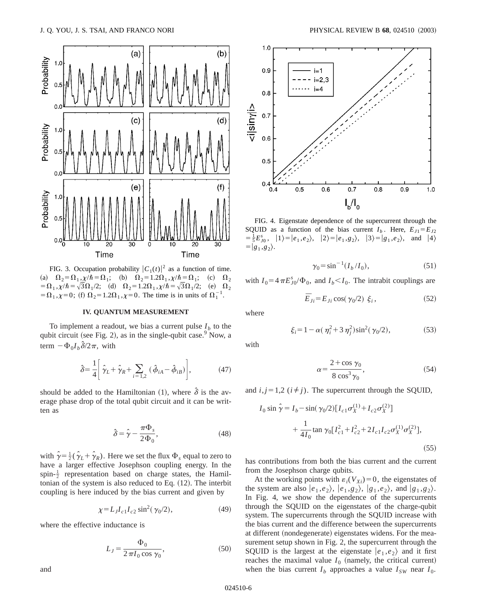

FIG. 3. Occupation probability  $|C_1(t)|^2$  as a function of time. (a)  $\Omega_2 = \Omega_1, \chi/\hbar = \Omega_1;$  (b)  $\Omega_2 = 1.2\Omega_1, \chi/\hbar = \Omega_1;$  (c)  $\Omega_2$  $= \Omega_1, \chi/\hbar = \sqrt{3}\Omega_1/2;$  (d)  $\Omega_2 = 1.2\Omega_1, \chi/\hbar = \sqrt{3}\Omega_1/2;$  (e)  $\Omega_2$  $= \Omega_1, \chi = 0$ ; (f)  $\Omega_2 = 1.2\Omega_1, \chi = 0$ . The time is in units of  $\Omega_1^{-1}$ .

#### **IV. QUANTUM MEASUREMENT**

To implement a readout, we bias a current pulse  $I<sub>b</sub>$  to the qubit circuit (see Fig. 2), as in the single-qubit case. $9$  Now, a term  $-\Phi_0I_b\hat{\delta}/2\pi$ , with

$$
\hat{\delta} = \frac{1}{4} \left[ \hat{\gamma}_L + \hat{\gamma}_R + \sum_{i=1,2} (\hat{\phi}_{iA} - \hat{\phi}_{iB}) \right],\tag{47}
$$

should be added to the Hamiltonian  $(1)$ , where  $\hat{\delta}$  is the average phase drop of the total qubit circuit and it can be written as

$$
\hat{\delta} = \hat{\gamma} - \frac{\pi \Phi_s}{2\Phi_0},\tag{48}
$$

with  $\hat{\gamma} = \frac{1}{2} (\hat{\gamma}_L + \hat{\gamma}_R)$ . Here we set the flux  $\Phi_s$  equal to zero to have a larger effective Josephson coupling energy. In the spin- $\frac{1}{2}$  representation based on charge states, the Hamiltonian of the system is also reduced to Eq.  $(12)$ . The interbit coupling is here induced by the bias current and given by

$$
\chi = L_J I_{c1} I_{c2} \sin^2(\gamma_0/2),\tag{49}
$$

where the effective inductance is

$$
L_J = \frac{\Phi_0}{2\pi I_0 \cos \gamma_0},\tag{50}
$$



FIG. 4. Eigenstate dependence of the supercurrent through the SQUID as a function of the bias current  $I_b$ . Here,  $E_{J1} = E_{J2}$  $= \frac{1}{5} E_{J0}^s, \quad |1\rangle = |e_1, e_2\rangle, \quad |2\rangle = |e_1, g_2\rangle, \quad |3\rangle = |g_1, e_2\rangle, \quad \text{and} \quad |4\rangle$  $=$  $|g_1, g_2\rangle$ .

$$
\gamma_0 = \sin^{-1}(I_b/I_0),\tag{51}
$$

with  $I_0 = 4 \pi E_{J0}^s / \Phi_0$ , and  $I_b < I_0$ . The intrabit couplings are

$$
\bar{E}_{Ji} = E_{Ji} \cos(\gamma_0/2) \xi_i, \qquad (52)
$$

where

$$
\xi_i = 1 - \alpha (\eta_i^2 + 3 \eta_j^2) \sin^2(\gamma_0/2), \tag{53}
$$

with

$$
\alpha = \frac{2 + \cos \gamma_0}{8 \cos^3 \gamma_0},\tag{54}
$$

and  $i, j = 1,2$  ( $i \neq j$ ). The supercurrent through the SQUID,

$$
I_0 \sin \hat{\gamma} = I_b - \sin(\gamma_0/2) [I_{c1} \sigma_X^{(1)} + I_{c2} \sigma_X^{(2)}] + \frac{1}{4I_0} \tan \gamma_0 [I_{c1}^2 + I_{c2}^2 + 2I_{c1} I_{c2} \sigma_X^{(1)} \sigma_X^{(2)}],
$$
\n(55)

has contributions from both the bias current and the current from the Josephson charge qubits.

At the working points with  $\varepsilon_i(V_{Xi})=0$ , the eigenstates of the system are also  $|e_1, e_2\rangle$ ,  $|e_1, g_2\rangle$ ,  $|g_1, e_2\rangle$ , and  $|g_1, g_2\rangle$ . In Fig. 4, we show the dependence of the supercurrents through the SQUID on the eigenstates of the charge-qubit system. The supercurrents through the SQUID increase with the bias current and the difference between the supercurrents at different (nondegenerate) eigenstates widens. For the measurement setup shown in Fig. 2, the supercurrent through the SQUID is the largest at the eigenstate  $|e_1, e_2\rangle$  and it first reaches the maximal value  $I_0$  (namely, the critical current) when the bias current  $I_b$  approaches a value  $I_{SW}$  near  $I_0$ .

and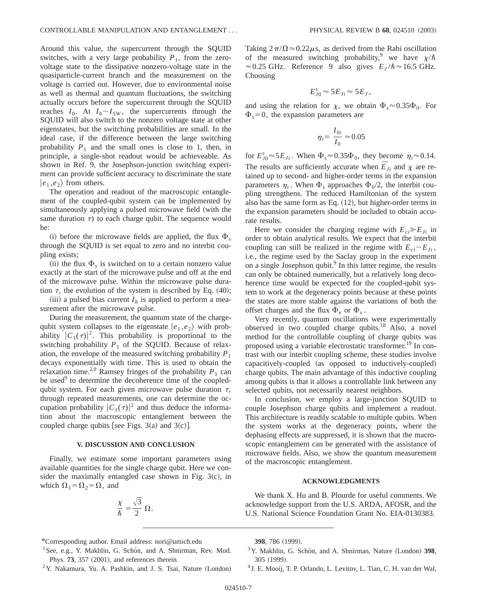Around this value, the supercurrent through the SQUID switches, with a very large probability  $P_1$ , from the zerovoltage state to the dissipative nonzero-voltage state in the quasiparticle-current branch and the measurement on the voltage is carried out. However, due to environmental noise as well as thermal and quantum fluctuations, the switching actually occurs before the supercurrent through the SQUID reaches  $I_0$ . At  $I_b \sim I_{SW}$ , the supercurrents through the SQUID will also switch to the nonzero voltage state at other eigenstates, but the switching probabilities are small. In the ideal case, if the difference between the large switching probability  $P_1$  and the small ones is close to 1, then, in principle, a single-shot readout would be achieveable. As shown in Ref. 9, the Josephson-junction switching experiment can provide sufficient accuracy to discriminate the state  $|e_1, e_2\rangle$  from others.

The operation and readout of the macroscopic entanglement of the coupled-qubit system can be implemented by simultaneously applying a pulsed microwave field (with the same duration  $\tau$ ) to each charge qubit. The sequence would be:

(i) before the microwave fields are applied, the flux  $\Phi$ <sub>s</sub> through the SQUID is set equal to zero and no interbit coupling exists;

(ii) the flux  $\Phi_s$  is switched on to a certain nonzero value exactly at the start of the microwave pulse and off at the end of the microwave pulse. Within the microwave pulse duration  $\tau$ , the evolution of the system is described by Eq. (40);

(iii) a pulsed bias current  $I_b$  is applied to perform a measurement after the microwave pulse.

During the measurement, the quantum state of the chargequbit system collapses to the eigenstate  $|e_1, e_2\rangle$  with probability  $|C_1(\tau)|^2$ . This probability is proportional to the switching probability  $P_1$  of the SQUID. Because of relaxation, the envelope of the measured switching probability  $P_1$ decays exponentially with time. This is used to obtain the relaxation time.<sup>2,9</sup> Ramsey fringes of the probability  $P_1$  can be used $9$  to determine the decoherence time of the coupledqubit system. For each given microwave pulse duration  $\tau$ , through repeated measurements, one can determine the occupation probability  $|C_1(\tau)|^2$  and thus deduce the information about the macroscopic entanglement between the coupled charge qubits [see Figs. 3(a) and 3(c)].

### **V. DISCUSSION AND CONCLUSION**

Finally, we estimate some important parameters using available quantities for the single charge qubit. Here we consider the maximally entangled case shown in Fig.  $3(c)$ , in which  $\Omega_1 = \Omega_2 = \Omega$ , and

$$
\frac{\chi}{\hbar} = \frac{\sqrt{3}}{2} \Omega.
$$

Taking  $2\pi/\Omega \approx 0.22\mu s$ , as derived from the Rabi oscillation of the measured switching probability,<sup>9</sup> we have  $\chi/\hbar$  $\approx$  0.25 GHz. Reference 9 also gives  $E_J/\hbar \approx 16.5$  GHz. Choosing

$$
E_{J0}^s \approx 5E_{Ji} \approx 5E_J,
$$

and using the relation for  $\chi$ , we obtain  $\Phi_s \approx 0.35\Phi_0$ . For  $\Phi_s = 0$ , the expansion parameters are

$$
\eta_i = \frac{I_{0i}}{I_0} \approx 0.05
$$

for  $E_{J0}^{s} \approx 5E_{Ji}$ . When  $\Phi_{s} \approx 0.35\Phi_{0}$ , they become  $\eta_{i} \approx 0.14$ . The results are sufficiently accurate when  $\overline{E}_{Ji}$  and  $\chi$  are retained up to second- and higher-order terms in the expansion parameters  $\eta_i$ . When  $\Phi_s$  approaches  $\Phi_0/2$ , the interbit coupling strengthens. The reduced Hamiltonian of the system also has the same form as Eq.  $(12)$ , but higher-order terms in the expansion parameters should be included to obtain accurate results.

Here we consider the charging regime with  $E_{ci} \gg E_{Ji}$  in order to obtain analytical results. We expect that the interbit coupling can still be realized in the regime with  $E_{ci} \sim E_{Ji}$ , i.e., the regime used by the Saclay group in the experiment on a single Josephson qubit.<sup>9</sup> In this latter regime, the results can only be obtained numerically, but a relatively long decoherence time would be expected for the coupled-qubit system to work at the degeneracy points because at these points the states are more stable against the variations of both the offset charges and the flux  $\Phi_e$  or  $\Phi_s$ .

Very recently, quantum oscillations were experimentally observed in two coupled charge qubits.18 Also, a novel method for the controllable coupling of charge qubits was proposed using a variable electrostatic transformer.<sup>19</sup> In contrast with our interbit coupling scheme, these studies involve capacitively-coupled (as opposed to inductively-coupled) charge qubits. The main advantage of this inductive coupling among qubits is that it allows a controllable link between any selected qubits, not necessarily nearest neighbors.

In conclusion, we employ a large-junction SQUID to couple Josephson charge qubits and implement a readout. This architecture is readily scalable to multiple qubits. When the system works at the degeneracy points, where the dephasing effects are suppressed, it is shown that the macroscopic entanglement can be generated with the assistance of microwave fields. Also, we show the quantum measurement of the macroscopic entanglement.

### **ACKNOWLEDGMENTS**

We thank X. Hu and B. Plourde for useful comments. We acknowledge support from the U.S. ARDA, AFOSR, and the U.S. National Science Foundation Grant No. EIA-0130383.

398, 786 (1999).

<sup>4</sup> J. E. Mooij, T. P. Orlando, L. Levitov, L. Tian, C. H. van der Wal,

<sup>\*</sup>Corresponding author. Email address: nori@umich.edu

 $1$ See, e.g., Y. Makhlin, G. Schön, and A. Shnirman, Rev. Mod. Phys.  $73$ ,  $357$   $(2001)$ , and references therein.

 $2$ Y. Nakamura, Yu. A. Pashkin, and J. S. Tsai, Nature (London)

<sup>&</sup>lt;sup>3</sup>Y. Makhlin, G. Schön, and A. Shnirman, Nature (London) 398, 305 (1999).